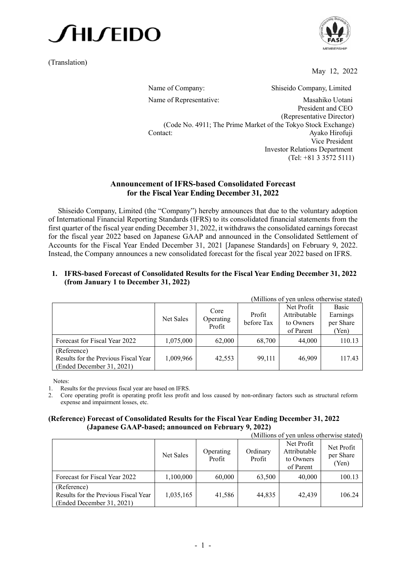

(Translation)



May 12, 2022

Name of Company: Shiseido Company, Limited Name of Representative: Masahiko Uotani President and CEO (Representative Director) (Code No. 4911; The Prime Market of the Tokyo Stock Exchange) Contact: Ayako Hirofuji Vice President Investor Relations Department (Tel: +81 3 3572 5111)

## **Announcement of IFRS-based Consolidated Forecast for the Fiscal Year Ending December 31, 2022**

Shiseido Company, Limited (the "Company") hereby announces that due to the voluntary adoption of International Financial Reporting Standards (IFRS) to its consolidated financial statements from the first quarter of the fiscal year ending December 31, 2022, it withdraws the consolidated earnings forecast for the fiscal year 2022 based on Japanese GAAP and announced in the Consolidated Settlement of Accounts for the Fiscal Year Ended December 31, 2021 [Japanese Standards] on February 9, 2022. Instead, the Company announces a new consolidated forecast for the fiscal year 2022 based on IFRS.

### **1. IFRS-based Forecast of Consolidated Results for the Fiscal Year Ending December 31, 2022 (from January 1 to December 31, 2022)**

| (Millions of yen unless otherwise stated)                                        |           |                             |                      |                                                      |                                         |  |  |  |
|----------------------------------------------------------------------------------|-----------|-----------------------------|----------------------|------------------------------------------------------|-----------------------------------------|--|--|--|
|                                                                                  | Net Sales | Core<br>Operating<br>Profit | Profit<br>before Tax | Net Profit<br>Attributable<br>to Owners<br>of Parent | Basic<br>Earnings<br>per Share<br>(Yen) |  |  |  |
| Forecast for Fiscal Year 2022                                                    | 1,075,000 | 62,000                      | 68,700               | 44,000                                               | 110.13                                  |  |  |  |
| (Reference)<br>Results for the Previous Fiscal Year<br>(Ended December 31, 2021) | 1,009,966 | 42,553                      | 99,111               | 46,909                                               | 117.43                                  |  |  |  |

Notes:

1. Results for the previous fiscal year are based on IFRS.

2. Core operating profit is operating profit less profit and loss caused by non-ordinary factors such as structural reform expense and impairment losses, etc.

#### **(Reference) Forecast of Consolidated Results for the Fiscal Year Ending December 31, 2022 (Japanese GAAP-based; announced on February 9, 2022)**

| (Millions of yen unless otherwise stated)                                        |           |                     |                    |                                                      |                                  |  |  |
|----------------------------------------------------------------------------------|-----------|---------------------|--------------------|------------------------------------------------------|----------------------------------|--|--|
|                                                                                  | Net Sales | Operating<br>Profit | Ordinary<br>Profit | Net Profit<br>Attributable<br>to Owners<br>of Parent | Net Profit<br>per Share<br>(Yen) |  |  |
| Forecast for Fiscal Year 2022                                                    | 1,100,000 | 60,000              | 63,500             | 40,000                                               | 100.13                           |  |  |
| (Reference)<br>Results for the Previous Fiscal Year<br>(Ended December 31, 2021) | 1,035,165 | 41,586              | 44,835             | 42,439                                               | 106.24                           |  |  |